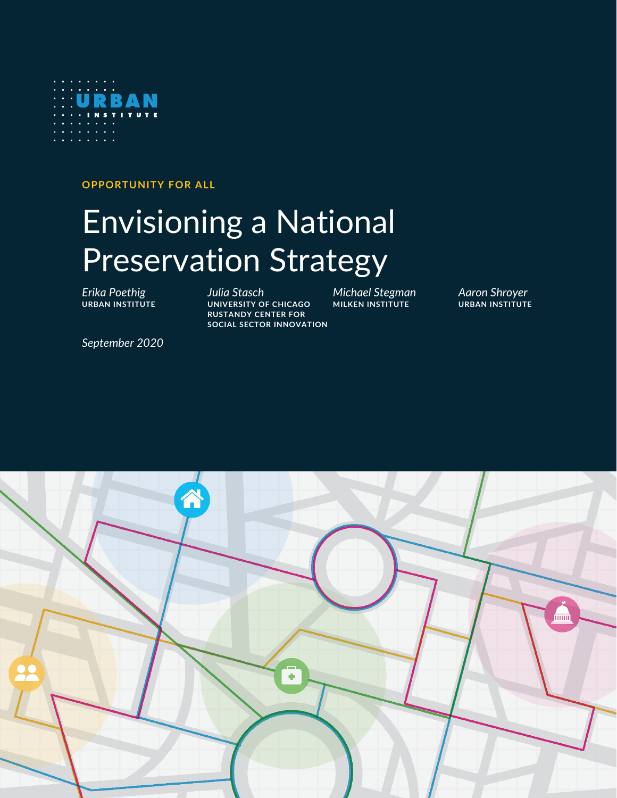

**OPPORTUNITY FOR ALL**

# Envisioning a National Preservation Strategy

*Erika Poethig Julia Stasch Michael Stegman Aaron Shroyer* **URBAN INSTITUTE UNIVERSITY OF CHICAGO MILKEN INSTITUTE URBAN INSTITUTE RUSTANDY CENTER FOR SOCIAL SECTOR INNOVATION**

*September 2020*

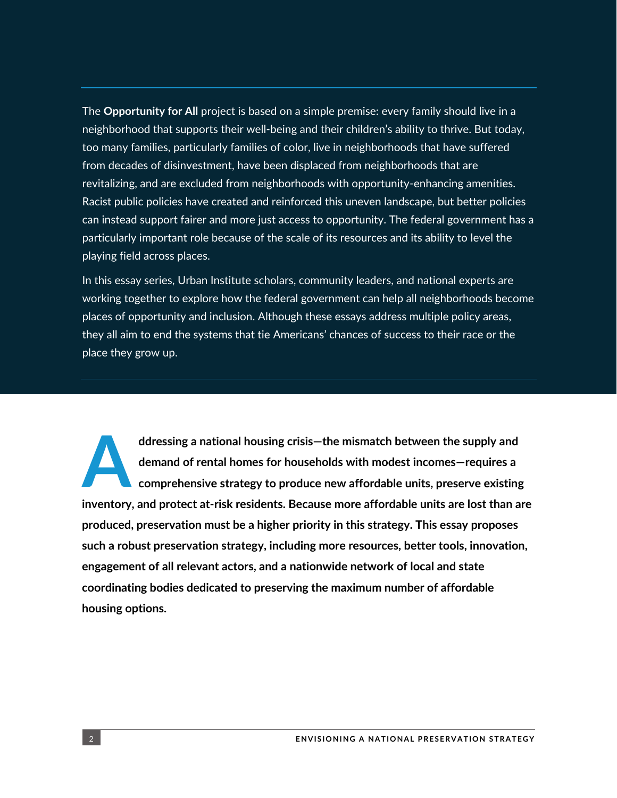The **Opportunity for All** project is based on a simple premise: every family should live in a neighborhood that supports their well-being and their children's ability to thrive. But today, too many families, particularly families of color, live in neighborhoods that have suffered from decades of disinvestment, have been displaced from neighborhoods that are revitalizing, and are excluded from neighborhoods with opportunity-enhancing amenities. Racist public policies have created and reinforced this uneven landscape, but better policies can instead support fairer and more just access to opportunity. The federal government has a particularly important role because of the scale of its resources and its ability to level the playing field across places.

In this essay series, Urban Institute scholars, community leaders, and national experts are working together to explore how the federal government can help all neighborhoods become places of opportunity and inclusion. Although these essays address multiple policy areas, they all aim to end the systems that tie Americans' chances of success to their race or the place they grow up.

**ddressing a national housing crisis—the mismatch between the supply and demand of rental homes for households with modest incomes—requires a comprehensive strategy to produce new affordable units, preserve existing inventory, and protect at-risk residents. Because more affordable units are lost than are produced, preservation must be a higher priority in this strategy. This essay proposes such a robust preservation strategy, including more resources, better tools, innovation, engagement of all relevant actors, and a nationwide network of local and state coordinating bodies dedicated to preserving the maximum number of affordable housing options. A**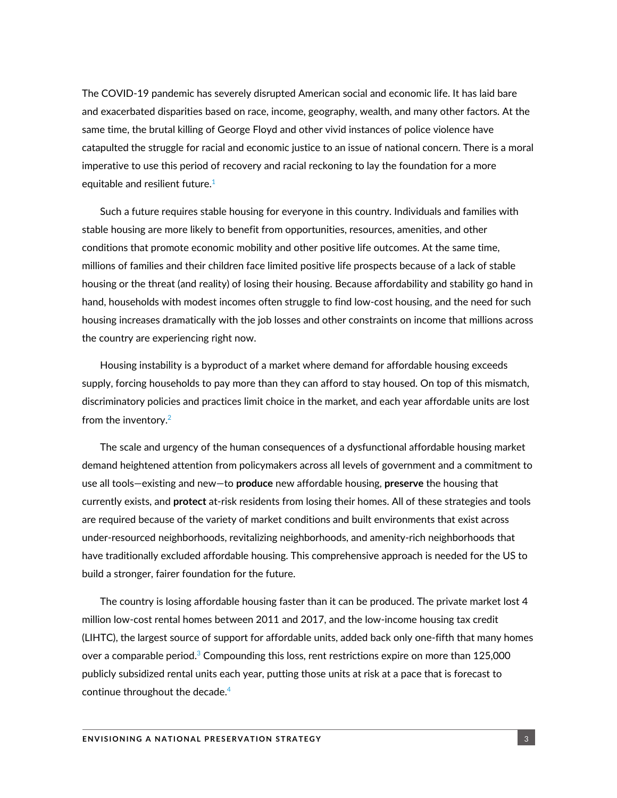The COVID-19 pandemic has severely disrupted American social and economic life. It has laid bare and exacerbated disparities based on race, income, geography, wealth, and many other factors. At the same time, the brutal killing of George Floyd and other vivid instances of police violence have catapulted the struggle for racial and economic justice to an issue of national concern. There is a moral imperative to use this period of recovery and racial reckoning to lay the foundation for a more equitable and resilient future. $1$ 

Such a future requires stable housing for everyone in this country. Individuals and families with stable housing are more likely to benefit from opportunities, resources, amenities, and other conditions that promote economic mobility and other positive life outcomes. At the same time, millions of families and their children face limited positive life prospects because of a lack of stable housing or the threat (and reality) of losing their housing. Because affordability and stability go hand in hand, households with modest incomes often struggle to find low-cost housing, and the need for such housing increases dramatically with the job losses and other constraints on income that millions across the country are experiencing right now.

Housing instability is a byproduct of a market where demand for affordable housing exceeds supply, forcing households to pay more than they can afford to stay housed. On top of this mismatch, discriminatory policies and practices limit choice in the market, and each year affordable units are lost from the inventory.<sup>2</sup>

The scale and urgency of the human consequences of a dysfunctional affordable housing market demand heightened attention from policymakers across all levels of government and a commitment to use all tools—existing and new—to **produce** new affordable housing, **preserve** the housing that currently exists, and **protect** at-risk residents from losing their homes. All of these strategies and tools are required because of the variety of market conditions and built environments that exist across under-resourced neighborhoods, revitalizing neighborhoods, and amenity-rich neighborhoods that have traditionally excluded affordable housing. This comprehensive approach is needed for the US to build a stronger, fairer foundation for the future.

The country is losing affordable housing faster than it can be produced. The private market lost 4 million low-cost rental homes between 2011 and 2017, and the low-income housing tax credit (LIHTC), the largest source of support for affordable units, added back only one-fifth that many homes over a comparable period. $\textdegree$  Compounding this loss, rent restrictions expire on more than 125,000 publicly subsidized rental units each year, putting those units at risk at a pace that is forecast to continue throughout the decade. 4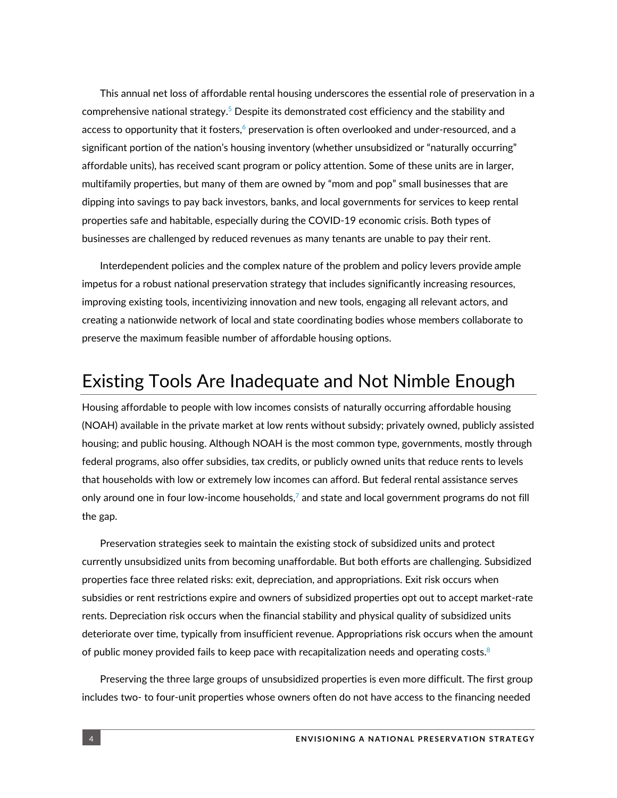This annual net loss of affordable rental housing underscores the essential role of preservation in a comprehensive national strategy.<sup>5</sup> Despite its demonstrated cost efficiency and the stability and access to opportunity that it fosters, $\acute{\text{o}}$  preservation is often overlooked and under-resourced, and a significant portion of the nation's housing inventory (whether unsubsidized or "naturally occurring" affordable units), has received scant program or policy attention. Some of these units are in larger, multifamily properties, but many of them are owned by "mom and pop" small businesses that are dipping into savings to pay back investors, banks, and local governments for services to keep rental properties safe and habitable, especially during the COVID-19 economic crisis. Both types of businesses are challenged by reduced revenues as many tenants are unable to pay their rent.

Interdependent policies and the complex nature of the problem and policy levers provide ample impetus for a robust national preservation strategy that includes significantly increasing resources, improving existing tools, incentivizing innovation and new tools, engaging all relevant actors, and creating a nationwide network of local and state coordinating bodies whose members collaborate to preserve the maximum feasible number of affordable housing options.

## Existing Tools Are Inadequate and Not Nimble Enough

Housing affordable to people with low incomes consists of naturally occurring affordable housing (NOAH) available in the private market at low rents without subsidy; privately owned, publicly assisted housing; and public housing. Although NOAH is the most common type, governments, mostly through federal programs, also offer subsidies, tax credits, or publicly owned units that reduce rents to levels that households with low or extremely low incomes can afford. But federal rental assistance serves only around one in four low-income households,<sup>7</sup> and state and local government programs do not fill the gap.

Preservation strategies seek to maintain the existing stock of subsidized units and protect currently unsubsidized units from becoming unaffordable. But both efforts are challenging. Subsidized properties face three related risks: exit, depreciation, and appropriations. Exit risk occurs when subsidies or rent restrictions expire and owners of subsidized properties opt out to accept market-rate rents. Depreciation risk occurs when the financial stability and physical quality of subsidized units deteriorate over time, typically from insufficient revenue. Appropriations risk occurs when the amount of public money provided fails to keep pace with recapitalization needs and operating costs.<sup>8</sup>

Preserving the three large groups of unsubsidized properties is even more difficult. The first group includes two- to four-unit properties whose owners often do not have access to the financing needed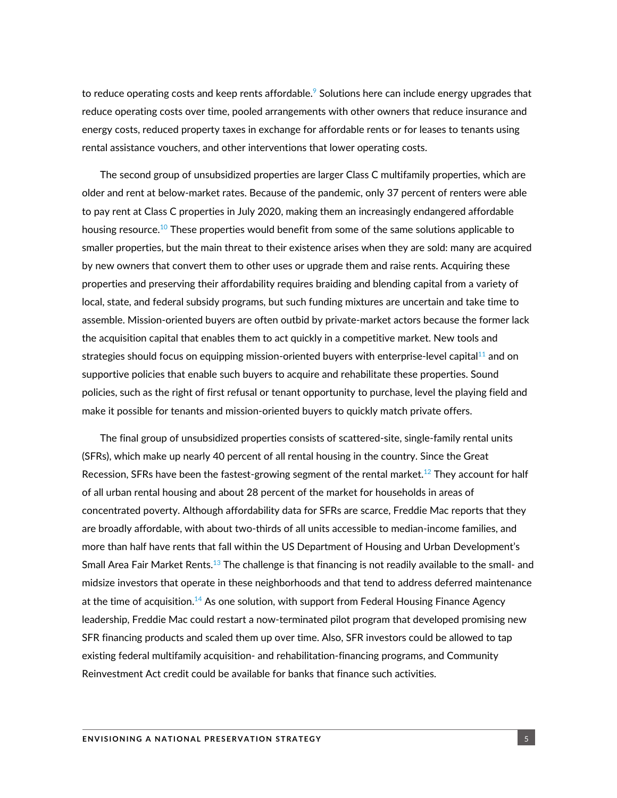to reduce operating costs and keep rents affordable. $9$  Solutions here can include energy upgrades that reduce operating costs over time, pooled arrangements with other owners that reduce insurance and energy costs, reduced property taxes in exchange for affordable rents or for leases to tenants using rental assistance vouchers, and other interventions that lower operating costs.

The second group of unsubsidized properties are larger Class C multifamily properties, which are older and rent at below-market rates. Because of the pandemic, only 37 percent of renters were able to pay rent at Class C properties in July 2020, making them an increasingly endangered affordable housing resource.<sup>10</sup> These properties would benefit from some of the same solutions applicable to smaller properties, but the main threat to their existence arises when they are sold: many are acquired by new owners that convert them to other uses or upgrade them and raise rents. Acquiring these properties and preserving their affordability requires braiding and blending capital from a variety of local, state, and federal subsidy programs, but such funding mixtures are uncertain and take time to assemble. Mission-oriented buyers are often outbid by private-market actors because the former lack the acquisition capital that enables them to act quickly in a competitive market. New tools and strategies should focus on equipping mission-oriented buyers with enterprise-level capital $^{11}$  and on supportive policies that enable such buyers to acquire and rehabilitate these properties. Sound policies, such as the right of first refusal or tenant opportunity to purchase, level the playing field and make it possible for tenants and mission-oriented buyers to quickly match private offers.

The final group of unsubsidized properties consists of scattered-site, single-family rental units (SFRs), which make up nearly 40 percent of all rental housing in the country. Since the Great Recession, SFRs have been the fastest-growing segment of the rental market.<sup>12</sup> They account for half of all urban rental housing and about 28 percent of the market for households in areas of concentrated poverty. Although affordability data for SFRs are scarce, Freddie Mac reports that they are broadly affordable, with about two-thirds of all units accessible to median-income families, and more than half have rents that fall within the US Department of Housing and Urban Development's Small Area Fair Market Rents.<sup>13</sup> The challenge is that financing is not readily available to the small- and midsize investors that operate in these neighborhoods and that tend to address deferred maintenance at the time of acquisition. $^{14}$  As one solution, with support from Federal Housing Finance Agency leadership, Freddie Mac could restart a now-terminated pilot program that developed promising new SFR financing products and scaled them up over time. Also, SFR investors could be allowed to tap existing federal multifamily acquisition- and rehabilitation-financing programs, and Community Reinvestment Act credit could be available for banks that finance such activities.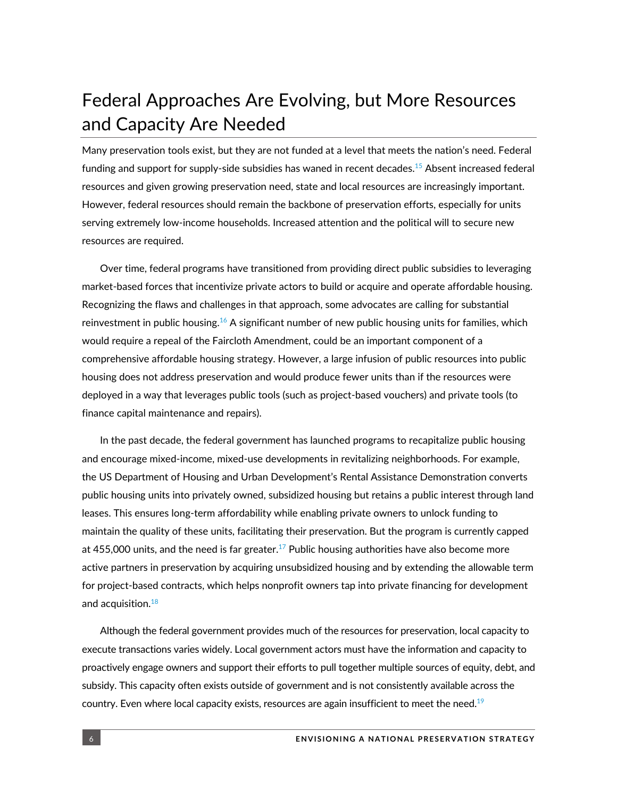# Federal Approaches Are Evolving, but More Resources and Capacity Are Needed

Many preservation tools exist, but they are not funded at a level that meets the nation's need. Federal funding and support for supply-side subsidies has waned in recent decades.<sup>15</sup> Absent increased federal resources and given growing preservation need, state and local resources are increasingly important. However, federal resources should remain the backbone of preservation efforts, especially for units serving extremely low-income households. Increased attention and the political will to secure new resources are required.

Over time, federal programs have transitioned from providing direct public subsidies to leveraging market-based forces that incentivize private actors to build or acquire and operate affordable housing. Recognizing the flaws and challenges in that approach, some advocates are calling for substantial reinvestment in public housing. $^{16}$  A significant number of new public housing units for families, which would require a repeal of the Faircloth Amendment, could be an important component of a comprehensive affordable housing strategy. However, a large infusion of public resources into public housing does not address preservation and would produce fewer units than if the resources were deployed in a way that leverages public tools (such as project-based vouchers) and private tools (to finance capital maintenance and repairs).

In the past decade, the federal government has launched programs to recapitalize public housing and encourage mixed-income, mixed-use developments in revitalizing neighborhoods. For example, the US Department of Housing and Urban Development's Rental Assistance Demonstration converts public housing units into privately owned, subsidized housing but retains a public interest through land leases. This ensures long-term affordability while enabling private owners to unlock funding to maintain the quality of these units, facilitating their preservation. But the program is currently capped at 455,000 units, and the need is far greater.<sup>17</sup> Public housing authorities have also become more active partners in preservation by acquiring unsubsidized housing and by extending the allowable term for project-based contracts, which helps nonprofit owners tap into private financing for development and acquisition.<sup>18</sup>

Although the federal government provides much of the resources for preservation, local capacity to execute transactions varies widely. Local government actors must have the information and capacity to proactively engage owners and support their efforts to pull together multiple sources of equity, debt, and subsidy. This capacity often exists outside of government and is not consistently available across the country. Even where local capacity exists, resources are again insufficient to meet the need. $^{19}$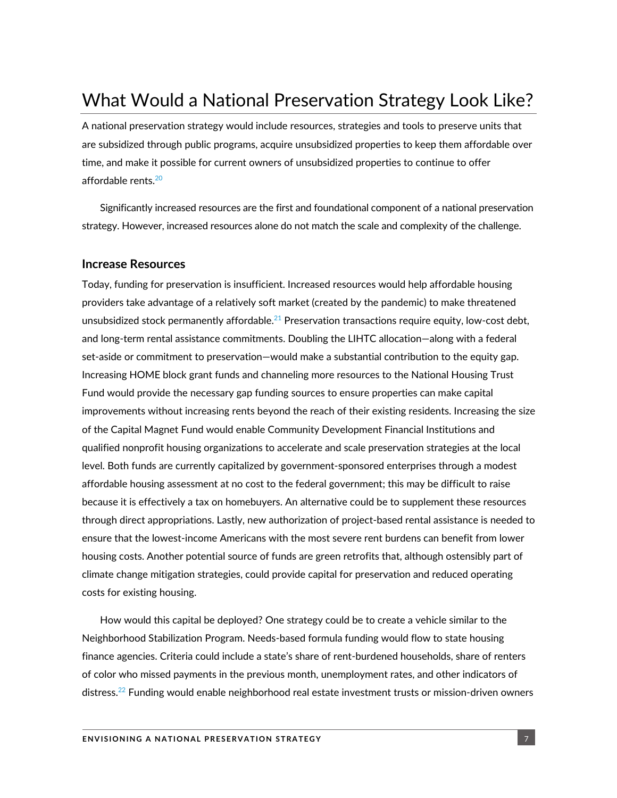# What Would a National Preservation Strategy Look Like?

A national preservation strategy would include resources, strategies and tools to preserve units that are subsidized through public programs, acquire unsubsidized properties to keep them affordable over time, and make it possible for current owners of unsubsidized properties to continue to offer affordable rents.<sup>20</sup>

Significantly increased resources are the first and foundational component of a national preservation strategy. However, increased resources alone do not match the scale and complexity of the challenge.

#### **Increase Resources**

Today, funding for preservation is insufficient. Increased resources would help affordable housing providers take advantage of a relatively soft market (created by the pandemic) to make threatened unsubsidized stock permanently affordable.<sup>21</sup> Preservation transactions require equity, low-cost debt, and long-term rental assistance commitments. Doubling the LIHTC allocation—along with a federal set-aside or commitment to preservation—would make a substantial contribution to the equity gap. Increasing HOME block grant funds and channeling more resources to the National Housing Trust Fund would provide the necessary gap funding sources to ensure properties can make capital improvements without increasing rents beyond the reach of their existing residents. Increasing the size of the Capital Magnet Fund would enable Community Development Financial Institutions and qualified nonprofit housing organizations to accelerate and scale preservation strategies at the local level. Both funds are currently capitalized by government-sponsored enterprises through a modest affordable housing assessment at no cost to the federal government; this may be difficult to raise because it is effectively a tax on homebuyers. An alternative could be to supplement these resources through direct appropriations. Lastly, new authorization of project-based rental assistance is needed to ensure that the lowest-income Americans with the most severe rent burdens can benefit from lower housing costs. Another potential source of funds are green retrofits that, although ostensibly part of climate change mitigation strategies, could provide capital for preservation and reduced operating costs for existing housing.

How would this capital be deployed? One strategy could be to create a vehicle similar to the Neighborhood Stabilization Program. Needs-based formula funding would flow to state housing finance agencies. Criteria could include a state's share of rent-burdened households, share of renters of color who missed payments in the previous month, unemployment rates, and other indicators of distress.<sup>22</sup> Funding would enable neighborhood real estate investment trusts or mission-driven owners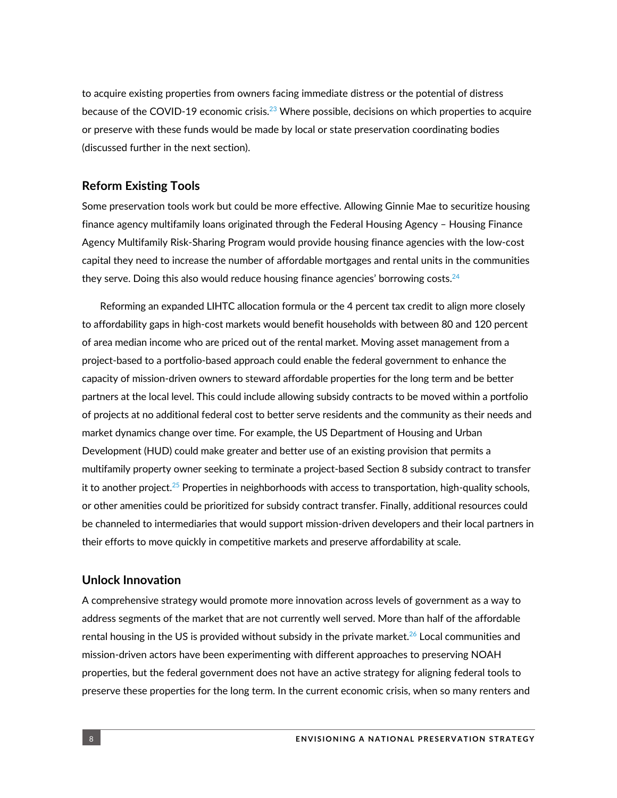to acquire existing properties from owners facing immediate distress or the potential of distress because of the COVID-19 economic crisis.<sup>23</sup> Where possible, decisions on which properties to acquire or preserve with these funds would be made by local or state preservation coordinating bodies (discussed further in the next section).

#### **Reform Existing Tools**

Some preservation tools work but could be more effective. Allowing Ginnie Mae to securitize housing finance agency multifamily loans originated through the Federal Housing Agency – Housing Finance Agency Multifamily Risk-Sharing Program would provide housing finance agencies with the low-cost capital they need to increase the number of affordable mortgages and rental units in the communities they serve. Doing this also would reduce housing finance agencies' borrowing costs. $^{24}$ 

Reforming an expanded LIHTC allocation formula or the 4 percent tax credit to align more closely to affordability gaps in high-cost markets would benefit households with between 80 and 120 percent of area median income who are priced out of the rental market. Moving asset management from a project-based to a portfolio-based approach could enable the federal government to enhance the capacity of mission-driven owners to steward affordable properties for the long term and be better partners at the local level. This could include allowing subsidy contracts to be moved within a portfolio of projects at no additional federal cost to better serve residents and the community as their needs and market dynamics change over time. For example, the US Department of Housing and Urban Development (HUD) could make greater and better use of an existing provision that permits a multifamily property owner seeking to terminate a project-based Section 8 subsidy contract to transfer it to another project.<sup>25</sup> Properties in neighborhoods with access to transportation, high-quality schools, or other amenities could be prioritized for subsidy contract transfer. Finally, additional resources could be channeled to intermediaries that would support mission-driven developers and their local partners in their efforts to move quickly in competitive markets and preserve affordability at scale.

#### **Unlock Innovation**

A comprehensive strategy would promote more innovation across levels of government as a way to address segments of the market that are not currently well served. More than half of the affordable rental housing in the US is provided without subsidy in the private market. $^{26}$  Local communities and mission-driven actors have been experimenting with different approaches to preserving NOAH properties, but the federal government does not have an active strategy for aligning federal tools to preserve these properties for the long term. In the current economic crisis, when so many renters and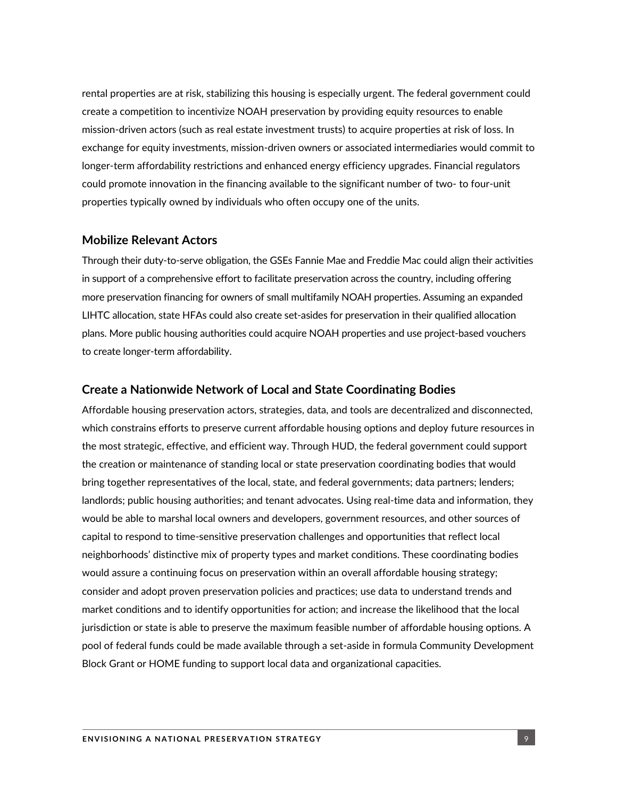rental properties are at risk, stabilizing this housing is especially urgent. The federal government could create a competition to incentivize NOAH preservation by providing equity resources to enable mission-driven actors (such as real estate investment trusts) to acquire properties at risk of loss. In exchange for equity investments, mission-driven owners or associated intermediaries would commit to longer-term affordability restrictions and enhanced energy efficiency upgrades. Financial regulators could promote innovation in the financing available to the significant number of two- to four-unit properties typically owned by individuals who often occupy one of the units.

#### **Mobilize Relevant Actors**

Through their duty-to-serve obligation, the GSEs Fannie Mae and Freddie Mac could align their activities in support of a comprehensive effort to facilitate preservation across the country, including offering more preservation financing for owners of small multifamily NOAH properties. Assuming an expanded LIHTC allocation, state HFAs could also create set-asides for preservation in their qualified allocation plans. More public housing authorities could acquire NOAH properties and use project-based vouchers to create longer-term affordability.

#### **Create a Nationwide Network of Local and State Coordinating Bodies**

Affordable housing preservation actors, strategies, data, and tools are decentralized and disconnected, which constrains efforts to preserve current affordable housing options and deploy future resources in the most strategic, effective, and efficient way. Through HUD, the federal government could support the creation or maintenance of standing local or state preservation coordinating bodies that would bring together representatives of the local, state, and federal governments; data partners; lenders; landlords; public housing authorities; and tenant advocates. Using real-time data and information, they would be able to marshal local owners and developers, government resources, and other sources of capital to respond to time-sensitive preservation challenges and opportunities that reflect local neighborhoods' distinctive mix of property types and market conditions. These coordinating bodies would assure a continuing focus on preservation within an overall affordable housing strategy; consider and adopt proven preservation policies and practices; use data to understand trends and market conditions and to identify opportunities for action; and increase the likelihood that the local jurisdiction or state is able to preserve the maximum feasible number of affordable housing options. A pool of federal funds could be made available through a set-aside in formula Community Development Block Grant or HOME funding to support local data and organizational capacities.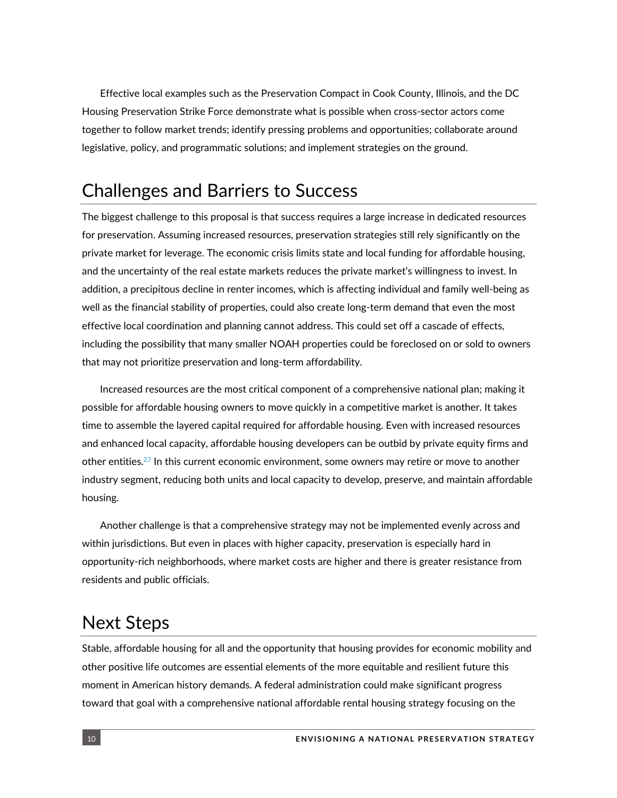Effective local examples such as the Preservation Compact in Cook County, Illinois, and the DC Housing Preservation Strike Force demonstrate what is possible when cross-sector actors come together to follow market trends; identify pressing problems and opportunities; collaborate around legislative, policy, and programmatic solutions; and implement strategies on the ground.

## Challenges and Barriers to Success

The biggest challenge to this proposal is that success requires a large increase in dedicated resources for preservation. Assuming increased resources, preservation strategies still rely significantly on the private market for leverage. The economic crisis limits state and local funding for affordable housing, and the uncertainty of the real estate markets reduces the private market's willingness to invest. In addition, a precipitous decline in renter incomes, which is affecting individual and family well-being as well as the financial stability of properties, could also create long-term demand that even the most effective local coordination and planning cannot address. This could set off a cascade of effects, including the possibility that many smaller NOAH properties could be foreclosed on or sold to owners that may not prioritize preservation and long-term affordability.

Increased resources are the most critical component of a comprehensive national plan; making it possible for affordable housing owners to move quickly in a competitive market is another. It takes time to assemble the layered capital required for affordable housing. Even with increased resources and enhanced local capacity, affordable housing developers can be outbid by private equity firms and other entities. <sup>27</sup> In this current economic environment, some owners may retire or move to another industry segment, reducing both units and local capacity to develop, preserve, and maintain affordable housing.

Another challenge is that a comprehensive strategy may not be implemented evenly across and within jurisdictions. But even in places with higher capacity, preservation is especially hard in opportunity-rich neighborhoods, where market costs are higher and there is greater resistance from residents and public officials.

## Next Steps

Stable, affordable housing for all and the opportunity that housing provides for economic mobility and other positive life outcomes are essential elements of the more equitable and resilient future this moment in American history demands. A federal administration could make significant progress toward that goal with a comprehensive national affordable rental housing strategy focusing on the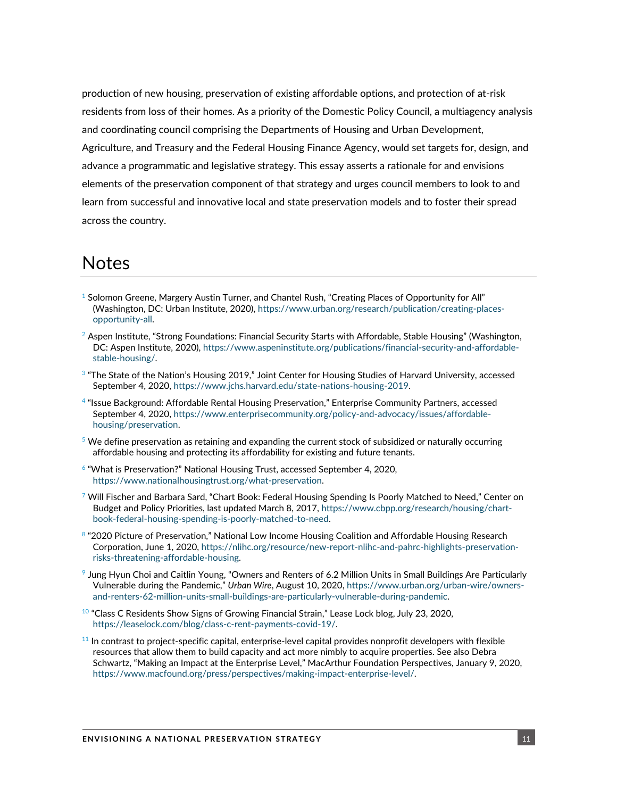production of new housing, preservation of existing affordable options, and protection of at-risk residents from loss of their homes. As a priority of the Domestic Policy Council, a multiagency analysis and coordinating council comprising the Departments of Housing and Urban Development, Agriculture, and Treasury and the Federal Housing Finance Agency, would set targets for, design, and advance a programmatic and legislative strategy. This essay asserts a rationale for and envisions elements of the preservation component of that strategy and urges council members to look to and learn from successful and innovative local and state preservation models and to foster their spread across the country.

### Notes

- $1$  Solomon Greene, Margery Austin Turner, and Chantel Rush, "Creating Places of Opportunity for All" (Washington, DC: Urban Institute, 2020), [https://www.urban.org/research/publication/creating-places](https://www.urban.org/research/publication/creating-places-opportunity-all)[opportunity-all.](https://www.urban.org/research/publication/creating-places-opportunity-all)
- $^2$  Aspen Institute, "Strong Foundations: Financial Security Starts with Affordable, Stable Housing" (Washington, DC: Aspen Institute, 2020)[, https://www.aspeninstitute.org/publications/financial-security-and-affordable](https://www.aspeninstitute.org/publications/financial-security-and-affordable-stable-housing/)[stable-housing/.](https://www.aspeninstitute.org/publications/financial-security-and-affordable-stable-housing/)
- <sup>3</sup> "The State of the Nation's Housing 2019," Joint Center for Housing Studies of Harvard University, accessed September 4, 2020[, https://www.jchs.harvard.edu/state-nations-housing-2019.](https://www.jchs.harvard.edu/state-nations-housing-2019)
- 4 "Issue Background: Affordable Rental Housing Preservation," Enterprise Community Partners, accessed September 4, 2020[, https://www.enterprisecommunity.org/policy-and-advocacy/issues/affordable](https://www.enterprisecommunity.org/policy-and-advocacy/issues/affordable-housing/preservation)[housing/preservation.](https://www.enterprisecommunity.org/policy-and-advocacy/issues/affordable-housing/preservation)
- $5$  We define preservation as retaining and expanding the current stock of subsidized or naturally occurring affordable housing and protecting its affordability for existing and future tenants.
- <sup>6</sup> "What is Preservation?" National Housing Trust, accessed September 4, 2020, [https://www.nationalhousingtrust.org/what-preservation.](https://www.nationalhousingtrust.org/what-preservation)
- $7$  Will Fischer and Barbara Sard, "Chart Book: Federal Housing Spending Is Poorly Matched to Need," Center on Budget and Policy Priorities, last updated March 8, 2017, [https://www.cbpp.org/research/housing/chart](https://www.cbpp.org/research/housing/chart-book-federal-housing-spending-is-poorly-matched-to-need)[book-federal-housing-spending-is-poorly-matched-to-need.](https://www.cbpp.org/research/housing/chart-book-federal-housing-spending-is-poorly-matched-to-need)
- 8 "2020 Picture of Preservation," National Low Income Housing Coalition and Affordable Housing Research Corporation, June 1, 2020, [https://nlihc.org/resource/new-report-nlihc-and-pahrc-highlights-preservation](https://nlihc.org/resource/new-report-nlihc-and-pahrc-highlights-preservation-risks-threatening-affordable-housing)[risks-threatening-affordable-housing.](https://nlihc.org/resource/new-report-nlihc-and-pahrc-highlights-preservation-risks-threatening-affordable-housing)
- 9 Jung Hyun Choi and Caitlin Young, "Owners and Renters of 6.2 Million Units in Small Buildings Are Particularly Vulnerable during the Pandemic," *Urban Wire*, August 10, 2020, [https://www.urban.org/urban-wire/owners](https://www.urban.org/urban-wire/owners-and-renters-62-million-units-small-buildings-are-particularly-vulnerable-during-pandemic)[and-renters-62-million-units-small-buildings-are-particularly-vulnerable-during-pandemic.](https://www.urban.org/urban-wire/owners-and-renters-62-million-units-small-buildings-are-particularly-vulnerable-during-pandemic)
- $10$  "Class C Residents Show Signs of Growing Financial Strain," Lease Lock blog, July 23, 2020, [https://leaselock.com/blog/class-c-rent-payments-covid-19/.](https://leaselock.com/blog/class-c-rent-payments-covid-19/)
- $11$  In contrast to project-specific capital, enterprise-level capital provides nonprofit developers with flexible resources that allow them to build capacity and act more nimbly to acquire properties. See also Debra Schwartz, "Making an Impact at the Enterprise Level," MacArthur Foundation Perspectives, January 9, 2020, [https://www.macfound.org/press/perspectives/making-impact-enterprise-level/.](https://www.macfound.org/press/perspectives/making-impact-enterprise-level/)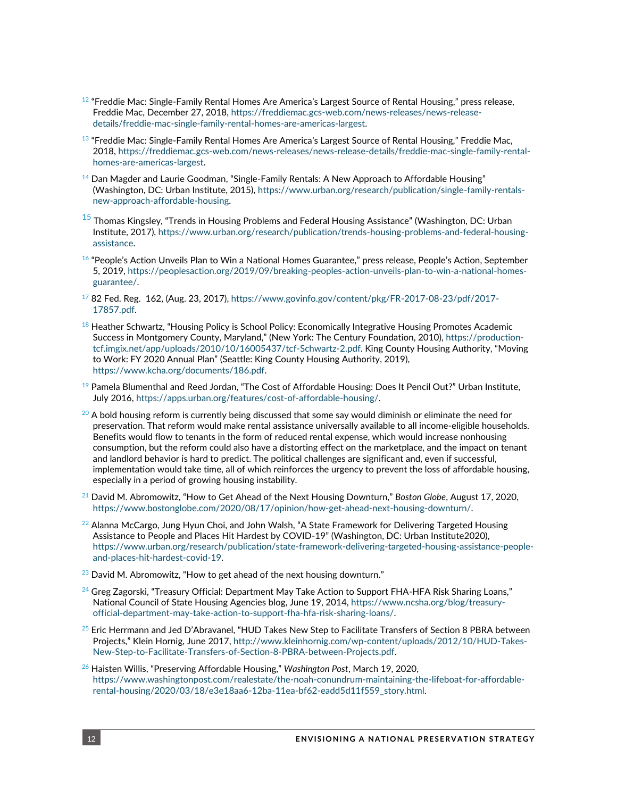- $^{12}$  "Freddie Mac: Single-Family Rental Homes Are America's Largest Source of Rental Housing," press release, Freddie Mac, December 27, 2018[, https://freddiemac.gcs-web.com/news-releases/news-release](https://freddiemac.gcs-web.com/news-releases/news-release-details/freddie-mac-single-family-rental-homes-are-americas-largest)[details/freddie-mac-single-family-rental-homes-are-americas-largest.](https://freddiemac.gcs-web.com/news-releases/news-release-details/freddie-mac-single-family-rental-homes-are-americas-largest)
- $^{13}$  "Freddie Mac: Single-Family Rental Homes Are America's Largest Source of Rental Housing," Freddie Mac, 2018[, https://freddiemac.gcs-web.com/news-releases/news-release-details/freddie-mac-single-family-rental](https://freddiemac.gcs-web.com/news-releases/news-release-details/freddie-mac-single-family-rental-homes-are-americas-largest)[homes-are-americas-largest.](https://freddiemac.gcs-web.com/news-releases/news-release-details/freddie-mac-single-family-rental-homes-are-americas-largest)
- $14$  Dan Magder and Laurie Goodman, "Single-Family Rentals: A New Approach to Affordable Housing" (Washington, DC: Urban Institute, 2015), [https://www.urban.org/research/publication/single-family-rentals](https://www.urban.org/research/publication/single-family-rentals-new-approach-affordable-housing)[new-approach-affordable-housing.](https://www.urban.org/research/publication/single-family-rentals-new-approach-affordable-housing)
- $^{\rm 15}$  Thomas Kingsley, "Trends in Housing Problems and Federal Housing Assistance" (Washington, DC: Urban Institute, 2017), [https://www.urban.org/research/publication/trends-housing-problems-and-federal-housing](https://www.urban.org/research/publication/trends-housing-problems-and-federal-housing-assistance)[assistance.](https://www.urban.org/research/publication/trends-housing-problems-and-federal-housing-assistance)
- $16$  "People's Action Unveils Plan to Win a National Homes Guarantee," press release, People's Action, September 5, 2019, [https://peoplesaction.org/2019/09/breaking-peoples-action-unveils-plan-to-win-a-national-homes](https://peoplesaction.org/2019/09/breaking-peoples-action-unveils-plan-to-win-a-national-homes-guarantee/)[guarantee/.](https://peoplesaction.org/2019/09/breaking-peoples-action-unveils-plan-to-win-a-national-homes-guarantee/)
- $1782$  Fed. Reg. 162, (Aug. 23, 2017)[, https://www.govinfo.gov/content/pkg/FR-2017-08-23/pdf/2017-](https://www.govinfo.gov/content/pkg/FR-2017-08-23/pdf/2017-17857.pdf) [17857.pdf.](https://www.govinfo.gov/content/pkg/FR-2017-08-23/pdf/2017-17857.pdf)
- $^{18}$  Heather Schwartz, "Housing Policy is School Policy: Economically Integrative Housing Promotes Academic Success in Montgomery County, Maryland," (New York: The Century Foundation, 2010)[, https://production](https://production-tcf.imgix.net/app/uploads/2010/10/16005437/tcf-Schwartz-2.pdf)[tcf.imgix.net/app/uploads/2010/10/16005437/tcf-Schwartz-2.pdf.](https://production-tcf.imgix.net/app/uploads/2010/10/16005437/tcf-Schwartz-2.pdf) King County Housing Authority, "Moving to Work: FY 2020 Annual Plan" (Seattle: King County Housing Authority, 2019), [https://www.kcha.org/documents/186.pdf.](https://www.kcha.org/documents/186.pdf)
- $^{19}$  Pamela Blumenthal and Reed Jordan, "The Cost of Affordable Housing: Does It Pencil Out?" Urban Institute, July 2016, [https://apps.urban.org/features/cost-of-affordable-housing/.](https://apps.urban.org/features/cost-of-affordable-housing/)
- $20$  A bold housing reform is currently being discussed that some say would diminish or eliminate the need for preservation. That reform would make rental assistance universally available to all income-eligible households. Benefits would flow to tenants in the form of reduced rental expense, which would increase nonhousing consumption, but the reform could also have a distorting effect on the marketplace, and the impact on tenant and landlord behavior is hard to predict. The political challenges are significant and, even if successful, implementation would take time, all of which reinforces the urgency to prevent the loss of affordable housing, especially in a period of growing housing instability.
- <sup>21</sup> David M. Abromowitz, "How to Get Ahead of the Next Housing Downturn," *Boston Globe*, August 17, 2020, [https://www.bostonglobe.com/2020/08/17/opinion/how-get-ahead-next-housing-downturn/.](https://www.bostonglobe.com/2020/08/17/opinion/how-get-ahead-next-housing-downturn/)
- $^{22}$  Alanna McCargo, Jung Hyun Choi, and John Walsh, "A State Framework for Delivering Targeted Housing Assistance to People and Places Hit Hardest by COVID-19" (Washington, DC: Urban Institute2020), [https://www.urban.org/research/publication/state-framework-delivering-targeted-housing-assistance-people](https://www.urban.org/research/publication/state-framework-delivering-targeted-housing-assistance-people-and-places-hit-hardest-covid-19)[and-places-hit-hardest-covid-19.](https://www.urban.org/research/publication/state-framework-delivering-targeted-housing-assistance-people-and-places-hit-hardest-covid-19)
- $23$  David M. Abromowitz, "How to get ahead of the next housing downturn."
- $^{24}$  Greg Zagorski, "Treasury Official: Department May Take Action to Support FHA-HFA Risk Sharing Loans," National Council of State Housing Agencies blog, June 19, 2014[, https://www.ncsha.org/blog/treasury](https://www.ncsha.org/blog/treasury-official-department-may-take-action-to-support-fha-hfa-risk-sharing-loans/)[official-department-may-take-action-to-support-fha-hfa-risk-sharing-loans/.](https://www.ncsha.org/blog/treasury-official-department-may-take-action-to-support-fha-hfa-risk-sharing-loans/)
- $25$  Eric Herrmann and Jed D'Abravanel, "HUD Takes New Step to Facilitate Transfers of Section 8 PBRA between Projects," Klein Hornig, June 2017, [http://www.kleinhornig.com/wp-content/uploads/2012/10/HUD-Takes-](http://www.kleinhornig.com/wp-content/uploads/2012/10/HUD-Takes-New-Step-to-Facilitate-Transfers-of-Section-8-PBRA-between-Projects.pdf)[New-Step-to-Facilitate-Transfers-of-Section-8-PBRA-between-Projects.pdf.](http://www.kleinhornig.com/wp-content/uploads/2012/10/HUD-Takes-New-Step-to-Facilitate-Transfers-of-Section-8-PBRA-between-Projects.pdf)
- <sup>26</sup> Haisten Willis, "Preserving Affordable Housing," *Washington Post*, March 19, 2020, [https://www.washingtonpost.com/realestate/the-noah-conundrum-maintaining-the-lifeboat-for-affordable](https://www.washingtonpost.com/realestate/the-noah-conundrum-maintaining-the-lifeboat-for-affordable-rental-housing/2020/03/18/e3e18aa6-12ba-11ea-bf62-eadd5d11f559_story.html)[rental-housing/2020/03/18/e3e18aa6-12ba-11ea-bf62-eadd5d11f559\\_story.html.](https://www.washingtonpost.com/realestate/the-noah-conundrum-maintaining-the-lifeboat-for-affordable-rental-housing/2020/03/18/e3e18aa6-12ba-11ea-bf62-eadd5d11f559_story.html)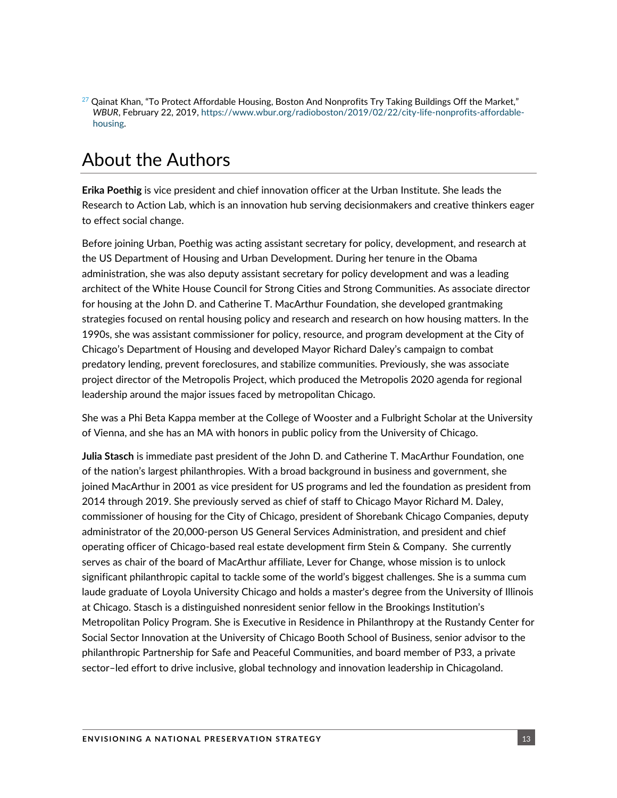$^{27}$  Qainat Khan, "To Protect Affordable Housing, Boston And Nonprofits Try Taking Buildings Off the Market," *WBUR*, February 22, 2019, [https://www.wbur.org/radioboston/2019/02/22/city-life-nonprofits-affordable](https://www.wbur.org/radioboston/2019/02/22/city-life-nonprofits-affordable-housing)[housing.](https://www.wbur.org/radioboston/2019/02/22/city-life-nonprofits-affordable-housing)

# About the Authors

**Erika Poethig** is vice president and chief innovation officer at the Urban Institute. She leads the Research to Action Lab, which is an innovation hub serving decisionmakers and creative thinkers eager to effect social change.

Before joining Urban, Poethig was acting assistant secretary for policy, development, and research at the US Department of Housing and Urban Development. During her tenure in the Obama administration, she was also deputy assistant secretary for policy development and was a leading architect of the White House Council for Strong Cities and Strong Communities. As associate director for housing at the John D. and Catherine T. MacArthur Foundation, she developed grantmaking strategies focused on rental housing policy and research and research on how housing matters. In the 1990s, she was assistant commissioner for policy, resource, and program development at the City of Chicago's Department of Housing and developed Mayor Richard Daley's campaign to combat predatory lending, prevent foreclosures, and stabilize communities. Previously, she was associate project director of the Metropolis Project, which produced the Metropolis 2020 agenda for regional leadership around the major issues faced by metropolitan Chicago.

She was a Phi Beta Kappa member at the College of Wooster and a Fulbright Scholar at the University of Vienna, and she has an MA with honors in public policy from the University of Chicago.

**Julia Stasch** is immediate past president of the John D. and Catherine T. MacArthur Foundation, one of the nation's largest philanthropies. With a broad background in business and government, she joined MacArthur in 2001 as vice president for US programs and led the foundation as president from 2014 through 2019. She previously served as chief of staff to Chicago Mayor Richard M. Daley, commissioner of housing for the City of Chicago, president of Shorebank Chicago Companies, deputy administrator of the 20,000-person US General Services Administration, and president and chief operating officer of Chicago-based real estate development firm Stein & Company. She currently serves as chair of the board of MacArthur affiliate, Lever for Change, whose mission is to unlock significant philanthropic capital to tackle some of the world's biggest challenges. She is a summa cum laude graduate of Loyola University Chicago and holds a master's degree from the University of Illinois at Chicago. Stasch is a distinguished nonresident senior fellow in the Brookings Institution's Metropolitan Policy Program. She is Executive in Residence in Philanthropy at the Rustandy Center for Social Sector Innovation at the University of Chicago Booth School of Business, senior advisor to the philanthropic Partnership for Safe and Peaceful Communities, and board member of P33, a private sector–led effort to drive inclusive, global technology and innovation leadership in Chicagoland.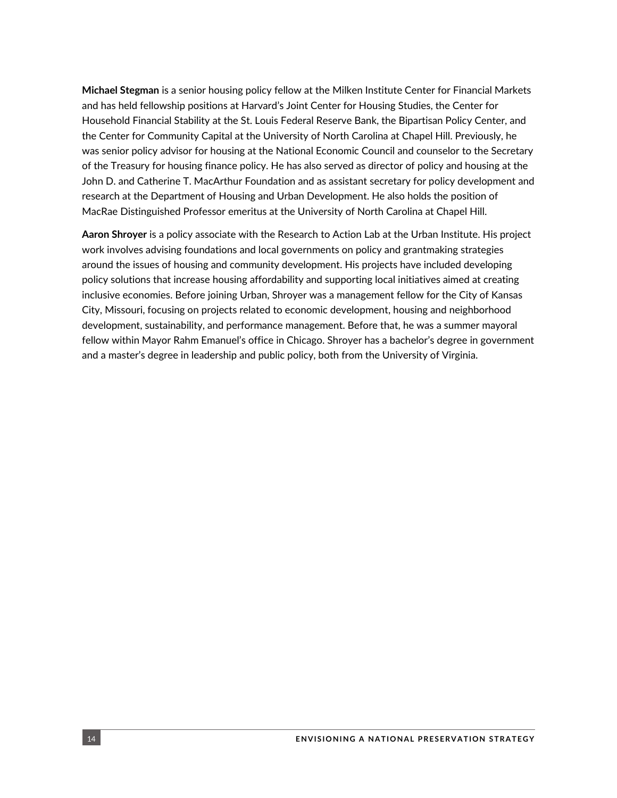**Michael Stegman** is a senior housing policy fellow at the Milken Institute Center for Financial Markets and has held fellowship positions at Harvard's Joint Center for Housing Studies, the Center for Household Financial Stability at the St. Louis Federal Reserve Bank, the Bipartisan Policy Center, and the Center for Community Capital at the University of North Carolina at Chapel Hill. Previously, he was senior policy advisor for housing at the National Economic Council and counselor to the Secretary of the Treasury for housing finance policy. He has also served as director of policy and housing at the John D. and Catherine T. MacArthur Foundation and as assistant secretary for policy development and research at the Department of Housing and Urban Development. He also holds the position of MacRae Distinguished Professor emeritus at the University of North Carolina at Chapel Hill.

**Aaron Shroyer** is a policy associate with the Research to Action Lab at the Urban Institute. His project work involves advising foundations and local governments on policy and grantmaking strategies around the issues of housing and community development. His projects have included developing policy solutions that increase housing affordability and supporting local initiatives aimed at creating inclusive economies. Before joining Urban, Shroyer was a management fellow for the City of Kansas City, Missouri, focusing on projects related to economic development, housing and neighborhood development, sustainability, and performance management. Before that, he was a summer mayoral fellow within Mayor Rahm Emanuel's office in Chicago. Shroyer has a bachelor's degree in government and a master's degree in leadership and public policy, both from the University of Virginia.